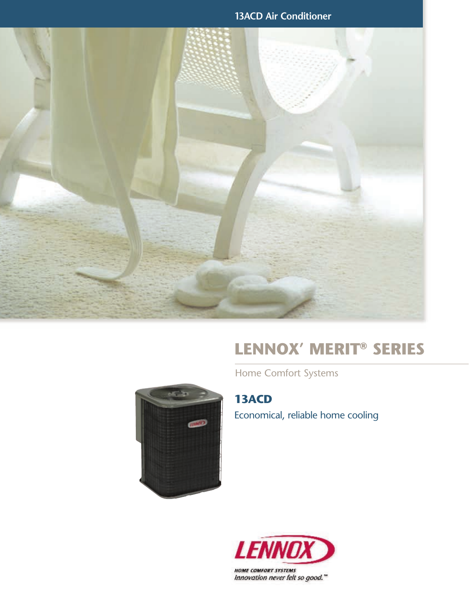**13ACD Air Conditioner**



# **Lennox' MERIT® Series**

Home Comfort Systems

**13ACD**  Economical, reliable home cooling



۰.



Innovation never felt so good."